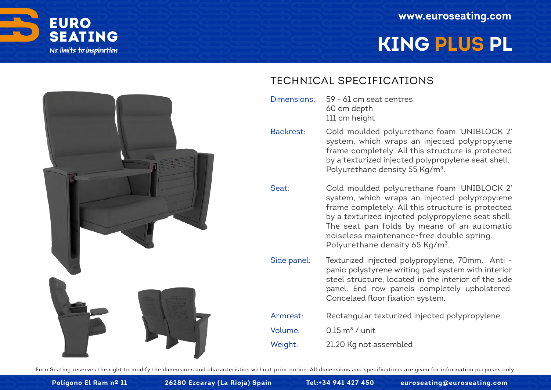

# **KING PLUS PL**



#### TECHNICAL SPECIFICATIONS

- 59 61 cm seat centres 60 cm depth 111 cm height Dimensions:
- Cold moulded polyurethane foam 'UNIBLOCK 2' system, which wraps an injected polypropylene frame completely. All this structure is protected by a texturized injected polypropylene seat shell. Polyurethane density 55 Kg/m<sup>3</sup>. Backrest:
- Cold moulded polyurethane foam 'UNIBLOCK 2' system, which wraps an injected polypropylene frame completely. All this structure is protected by a texturized injected polypropylene seat shell. The seat pan folds by means of an automatic noiseless maintenance-free double spring. Polyurethane density 65 Kg/m<sup>3</sup>. Seat:
- Texturized injected polypropylene, 70mm. Anti panic polystyrene writing pad system with interior steel structure, located in the interior of the side panel. End row panels completely upholstered. Concelaed floor fixation system. Side panel:
- Rectangular texturized injected polypropylene. Armrest:
- $0.15 \text{ m}^3$  / unit Volume:
- 21.20 Kg not assembled Weight:

Euro Seating reserves the right to modify the dimensions and characteristics without prior notice. All dimensions and specifications are given for information purposes only.